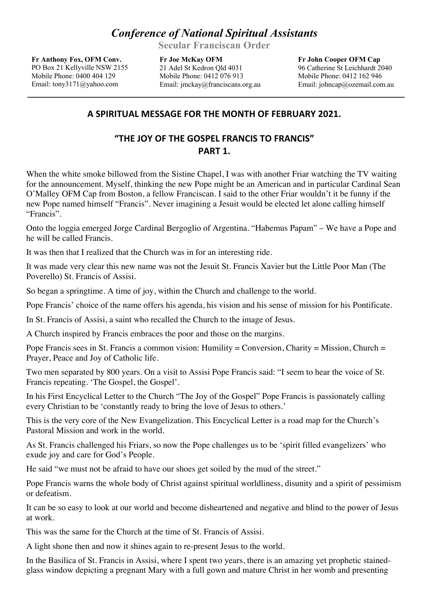## *Conference of National Spiritual Assistants*

**Secular Franciscan Order**

**Fr Anthony Fox, OFM Conv.** PO Box 21 Kellyville NSW 2155 Mobile Phone: 0400 404 129 Email: tony3171@yahoo.com

**Fr Joe McKay OFM** 21 Adel St Kedron Qld 4031 Mobile Phone: 0412 076 913 Email: jmckay@franciscans.org.au

**Fr John Cooper OFM Cap** 96 Catherine St Leichhardt 2040 Mobile Phone: 0412 162 946 Email: johncap@ozemail.com.au

## **A SPIRITUAL MESSAGE FOR THE MONTH OF FEBRUARY 2021.**

## **"THE JOY OF THE GOSPEL FRANCIS TO FRANCIS" PART 1.**

When the white smoke billowed from the Sistine Chapel, I was with another Friar watching the TV waiting for the announcement. Myself, thinking the new Pope might be an American and in particular Cardinal Sean O'Malley OFM Cap from Boston, a fellow Franciscan. I said to the other Friar wouldn't it be funny if the new Pope named himself "Francis". Never imagining a Jesuit would be elected let alone calling himself "Francis".

Onto the loggia emerged Jorge Cardinal Bergoglio of Argentina. "Habemus Papam" – We have a Pope and he will be called Francis.

It was then that I realized that the Church was in for an interesting ride.

It was made very clear this new name was not the Jesuit St. Francis Xavier but the Little Poor Man (The Poverello) St. Francis of Assisi.

So began a springtime. A time of joy, within the Church and challenge to the world.

Pope Francis' choice of the name offers his agenda, his vision and his sense of mission for his Pontificate.

In St. Francis of Assisi, a saint who recalled the Church to the image of Jesus.

A Church inspired by Francis embraces the poor and those on the margins.

Pope Francis sees in St. Francis a common vision: Humility = Conversion, Charity = Mission, Church = Prayer, Peace and Joy of Catholic life.

Two men separated by 800 years. On a visit to Assisi Pope Francis said: "I seem to hear the voice of St. Francis repeating. 'The Gospel, the Gospel'.

In his First Encyclical Letter to the Church "The Joy of the Gospel" Pope Francis is passionately calling every Christian to be 'constantly ready to bring the love of Jesus to others.'

This is the very core of the New Evangelization. This Encyclical Letter is a road map for the Church's Pastoral Mission and work in the world.

As St. Francis challenged his Friars, so now the Pope challenges us to be 'spirit filled evangelizers' who exude joy and care for God's People.

He said "we must not be afraid to have our shoes get soiled by the mud of the street."

Pope Francis warns the whole body of Christ against spiritual worldliness, disunity and a spirit of pessimism or defeatism.

It can be so easy to look at our world and become disheartened and negative and blind to the power of Jesus at work.

This was the same for the Church at the time of St. Francis of Assisi.

A light shone then and now it shines again to re-present Jesus to the world.

In the Basilica of St. Francis in Assisi, where I spent two years, there is an amazing yet prophetic stainedglass window depicting a pregnant Mary with a full gown and mature Christ in her womb and presenting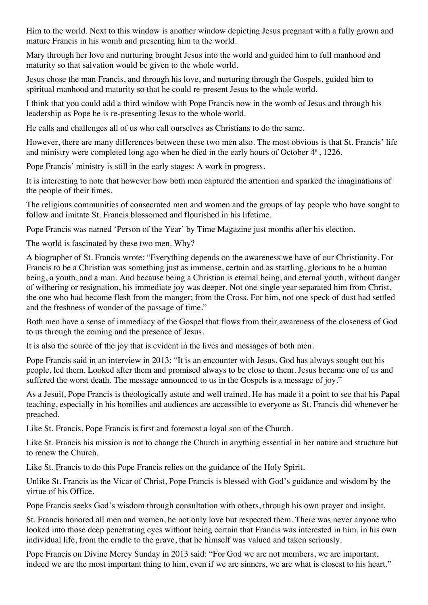Him to the world. Next to this window is another window depicting Jesus pregnant with a fully grown and mature Francis in his womb and presenting him to the world.

Mary through her love and nurturing brought Jesus into the world and guided him to full manhood and maturity so that salvation would be given to the whole world.

Jesus chose the man Francis, and through his love, and nurturing through the Gospels, guided him to spiritual manhood and maturity so that he could re-present Jesus to the whole world.

I think that you could add a third window with Pope Francis now in the womb of Jesus and through his leadership as Pope he is re-presenting Jesus to the whole world.

He calls and challenges all of us who call ourselves as Christians to do the same.

However, there are many differences between these two men also. The most obvious is that St. Francis' life and ministry were completed long ago when he died in the early hours of October 4<sup>th</sup>, 1226.

Pope Francis' ministry is still in the early stages: A work in progress.

It is interesting to note that however how both men captured the attention and sparked the imaginations of the people of their times.

The religious communities of consecrated men and women and the groups of lay people who have sought to follow and imitate St. Francis blossomed and flourished in his lifetime.

Pope Francis was named 'Person of the Year' by Time Magazine just months after his election.

The world is fascinated by these two men. Why?

A biographer of St. Francis wrote: "Everything depends on the awareness we have of our Christianity. For Francis to be a Christian was something just as immense, certain and as startling, glorious to be a human being, a youth, and a man. And because being a Christian is eternal being, and eternal youth, without danger of withering or resignation, his immediate joy was deeper. Not one single year separated him from Christ, the one who had become flesh from the manger; from the Cross. For him, not one speck of dust had settled and the freshness of wonder of the passage of time."

Both men have a sense of immediacy of the Gospel that flows from their awareness of the closeness of God to us through the coming and the presence of Jesus.

It is also the source of the joy that is evident in the lives and messages of both men.

Pope Francis said in an interview in 2013: "It is an encounter with Jesus. God has always sought out his people, led them. Looked after them and promised always to be close to them. Jesus became one of us and suffered the worst death. The message announced to us in the Gospels is a message of joy."

As a Jesuit, Pope Francis is theologically astute and well trained. He has made it a point to see that his Papal teaching, especially in his homilies and audiences are accessible to everyone as St. Francis did whenever he preached.

Like St. Francis, Pope Francis is first and foremost a loyal son of the Church.

Like St. Francis his mission is not to change the Church in anything essential in her nature and structure but to renew the Church.

Like St. Francis to do this Pope Francis relies on the guidance of the Holy Spirit.

Unlike St. Francis as the Vicar of Christ, Pope Francis is blessed with God's guidance and wisdom by the virtue of his Office.

Pope Francis seeks God's wisdom through consultation with others, through his own prayer and insight.

St. Francis honored all men and women, he not only love but respected them. There was never anyone who looked into those deep penetrating eyes without being certain that Francis was interested in him, in his own individual life, from the cradle to the grave, that he himself was valued and taken seriously.

Pope Francis on Divine Mercy Sunday in 2013 said: "For God we are not members, we are important, indeed we are the most important thing to him, even if we are sinners, we are what is closest to his heart."